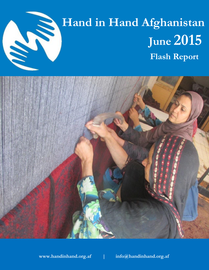

# **Hand in Hand Afghanistan**<br>June 2015<br>Flash Report  **June 2015 Flash Report**



**www.handinhand.org.af | info@handinhand.org.af**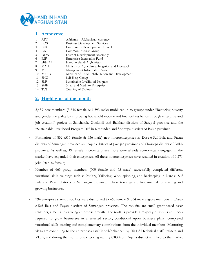

|    | <b>Acronyms:</b> |                                                   |
|----|------------------|---------------------------------------------------|
| 1  | <b>AFN</b>       | Afghanis - Afghanistan currency                   |
| 2  | <b>BDS</b>       | <b>Business Development Services</b>              |
| 3  | <b>CDC</b>       | Community Development Council                     |
| 4  | CIG              | Common Interest Group                             |
| 5  | <b>DDA</b>       | District Development Assembly                     |
| 6  | EIF              | Enterprise Incubation Fund                        |
|    | HiH-Af           | Hand in Hand-Afghanistan                          |
| 8  | <b>MAIL</b>      | Ministry of Agriculture, Irrigation and Livestock |
| 9  | MIS              | Management Information System                     |
| 10 | <b>MRRD</b>      | Ministry of Rural Rehabilitation and Development  |
| 11 | <b>SHG</b>       | Self Help Group                                   |
| 12 | <b>SLP</b>       | Sustainable Livelihood Program                    |
| 13 | <b>SME</b>       | Small and Medium Enterprise                       |
| 14 | ToT              | Training of Trainers                              |

### **2. Highlights of the month**

- 5,439 new members **(**3,846 female & 1,593 male) mobilized in to groups under "Reducing poverty and gender inequality by improving household income and financial resilience through enterprise and job creation" project in Sancharak, Gosfandi and Balkhab districts of Sarepul province and the "Sustainable Livelihood Program III" in Keshindeh and Shortepa districts of Balkh province.
- Formation of 852 (516 female & 336 male) new microenterprises in Dare-e-Suf Bala and Payan districts of Samangan province and Aqcha district of Jawzjan province and Shortepa district of Balkh province. As well as, 19 female microenterprises those were already economically engaged in the market have expanded their enterprises. All these microenterprises have resulted in creation of 1,271 jobs (60.5 % female).
- Number of 665 group members (600 female and 65 male) successfully completed different vocational skills trainings such as Poultry, Tailoring, Wool spinning, and Beekeeping in Dare-e- Suf Bala and Payan districts of Samangan province. These trainings are fundamental for starting and growing businesses.
- 794 enterprise start-up toolkits were distributed to 460 female & 334 male eligible members in Darae-Suf Bala and Payan districts of Samangan province. The toolkits are small grant-based asset transfers, aimed at catalyzing enterprise growth. The toolkits provide a majority of inputs and tools required to grow businesses in a selected sector, conditional upon business plans, completed vocational skills training and complementary contributions from the individual members. Mentoring visits are continuing to the enterprises established/enhanced by HiH Af technical staff, trainers and VEFs, and during the month one checking rearing CIG from Aqcha district is linked to the market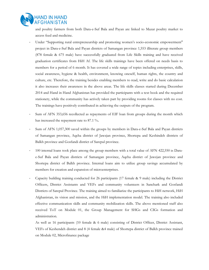

and poultry farmers from both Dara-e-Suf Bala and Payan are linked to Mazar poultry market to access feed and medicine.

- Under "Supporting rural entrepreneurship and promoting women's socio-economic empowerment" project in Dara-e-Suf Bala and Payan districts of Samangan province 1,553 illiterate group members (878 female & 675 male) have successfully graduated from Life Skills training and have received graduation certificates from HiH Af. The life skills trainings have been offered on needs basis to members for a period of 6 month. It has covered a wide range of topics including enterprises, skills, social awareness, hygiene & health, environment, knowing oneself, human rights, the country and culture, etc. Therefore, the training besides enabling members to read, write and do basic calculation it also increases their awareness in the above areas. The life skills classes started during December 2014 and Hand in Hand Afghanistan has provided the participants with a text book and the required stationery, while the community has actively taken part by providing rooms for classes with no cost. The trainings have positively contributed in achieving the outputs of the program.
- Sum of AFN 353,656 recollected as repayments of EIF loan from groups during the month which has increased the repayment rate to 87.1 %**.**
- Sum of AFN 1,057,300 saved within the groups by members in Dara-e-Suf Bala and Payan districts of Samangan province, Aqcha district of Jawzjan province, Shortepa and Keshindeh districts of Balkh province and Gosfandi district of Sarepul province.
- 100 internal loans took place among the group members with a total value of AFN 422,550 in Darae-Suf Bala and Payan districts of Samangan province, Aqcha district of Jawzjan province and Shortepa district of Balkh province. Internal loans aim to utilize group savings accumulated by members for creation and expansion of microenterprises.
- Capacity building training conducted for 26 participants (17 female & 9 male) including the District Officers, District Assistants and VEFs and community volunteers in Sanchark and Gosfandi Districts of Sarepul Province. The training aimed to familiarize the participants to HiH network, HiH Afghanistan, its vision and mission, and the HiH implementation model. The training also included effective communication skills and community mobilization skills. The above mentioned staff also received ToT on Module 01, the Group Management for SHGs and CIGs formation and administration.

As well as 16 participants (10 female & 6 male) consisting of District Officer, District Assistant, VEFs of Keshendeh district and 8 (4 female &4 male) of Shortepa district of Balkh province trained on Module 02, Microfinance package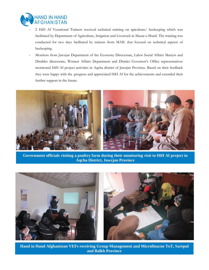

- 2 HiH Af Vocational Trainers received technical training on apiculture/ beekeeping which was facilitated by Department of Agriculture, Irrigation and Livestock in Mazar-e-Sharif. The training was conducted for two days facilitated by trainers from MAIL that focused on technical aspects of beekeeping.
- Monitors from Jawzjan Department of the Economy Directorate, Labor Social Affairs Martyrs and Disables directorate, Women Affairs Department and District Governor's Office representatives monitored HiH Af project activities in Aqcha district of Jawzjan Province. Based on their feedback they were happy with the .progress and appreciated HiH Af for the achievements and extended their further support in the future.



**Government officials visiting a poultry farm during their monitoring visit to HiH Af project in Aqcha District, Jawzjan Province**



**Hand in Hand Afghanistan VEFs receiving Group Management and Microfinacne ToT, Sarepul and Balkh Province**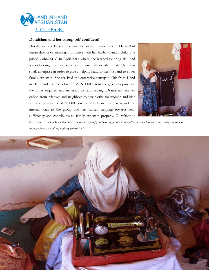

#### **Dorafshan and her strong self-confident!**

Dorafshan is a 19 year old married woman who lives in Dara-e-Suf Payan district of Samangan province with her husband and a child. She joined Zohra SHG in April 2014 where she learned tailoring skill and ways of doing business. After being trained she decided to start her own small enterprise in order to give a helping hand to her husband to cover family expenses. She received the enterprise startup toolkit from Hand in Hand and secured a loan of AFN 1,000 from the group to purchase the other required raw materials to start sewing. Dorafshan receives orders from relatives and neighbors to sew cloths for women and kids and she now earns AFN 4,000 on monthly basis. She has repaid the internal loan to the group and has started stepping towards selfsufficiency and contributes to family expenses properly. Dorafshan is



happy with her job as she says: *"I am very happy to help my family financially and this has given me enough confident to move forward and expand my enterprise."* 

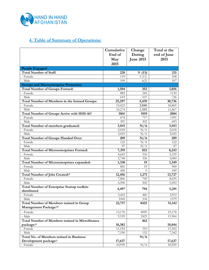

# **4. Table of Summary of Operations:**

|                                                        | Cumulative | Change           | Total at the |
|--------------------------------------------------------|------------|------------------|--------------|
|                                                        | End of     | During           | end of June  |
|                                                        | May        | <b>June 2015</b> | 2015         |
|                                                        | 2015       |                  |              |
| <b>People Engaged</b>                                  |            |                  |              |
| <b>Total Number of Staff:</b>                          | 228        | 9(13)            | 215          |
| - Female                                               | 119        | 3(11)            | 108          |
| - Male                                                 | 109        | 6(2)             | 107          |
| <b>Groups and Microenterprise Promotion</b>            |            |                  |              |
| <b>Total Number of Groups Formed:</b>                  | 1,504      | 352              | 1,856        |
| - Female                                               | 885        | 245              | 1130         |
| - Male                                                 | 619        | 107              | 726          |
| Total Number of Members in the formed Groups:          | 25,297     | 5,439            | 30,736       |
| - Female                                               | 15,023     | 3,846            | 18,869       |
| - Male                                                 | 10,274     | 1,593            | 11,867       |
| Total Number of Groups Active with HiH-Af:i            | 1065       | 1019             | 2084         |
| - Female                                               | 674        | 717              | 1391         |
| - Male                                                 | 391        | 302              | 693          |
| Total Number of members graduated:                     | 5,043      | N/A              | 5,043        |
| - Female                                               | 2,018      | N/A              | 2,018        |
| - Male                                                 | 3,025      | N/A              | 3,025        |
| <b>Total Number of Groups Handed Over:</b>             | 209        | N/A              | 209          |
| - Female                                               | 122        | N/A              | 122          |
| - Male                                                 | 87         | N/A              | 87           |
| <b>Total Number of Microenterprises Formed:</b>        | 7,391      | 852              | 8,243        |
| - Female                                               | 4,643      | 516              | 5,159        |
| - Male                                                 | 2,748      | 336              | 3,084        |
| Total Number of Microenterprises expanded:             | 1,330      | 19               | 1,349        |
| - Female                                               | 881        | 19               | 900          |
| - Male                                                 | 449        | $\Omega$         | 449          |
| Total Number of Jobs Created:ii                        | 12,456     | 1,271            | 13,727       |
| - Female                                               | 7,866      | 769              | 8,635        |
| - Male                                                 | 4,590      | 502              | 5,092        |
| <b>Total Number of Enterprise Startup toolkits</b>     | 4,497      | 794              | 5,291        |
| distributed                                            |            |                  |              |
| - Female                                               | 3,452      | 460              | 3,912        |
| - Male                                                 | 1045       | 334              | 1379         |
| <b>Total Number of Members trained in Group</b>        | 22,717     | 8425             | 31,142       |
| Management Package:iii                                 |            |                  |              |
| - Female                                               | 13,178     | 6000             | 19,178       |
| - Male                                                 | 9,539      | 2425             | 11,964       |
| <b>Total Number of Members trained in Microfinance</b> |            | 462              |              |
| package:iv                                             | 18,382     |                  | 18,844       |
| - Female                                               | 11,192     | 310              | 11,502       |
| - Male                                                 | 7,190      | 152              | 7,342        |
| Total No. of Members trained in Business               |            | N/A              |              |
| Development package:v                                  | 17,637     |                  | 17,637       |
| - Female                                               | 10,939     | N/A              | 10,939       |